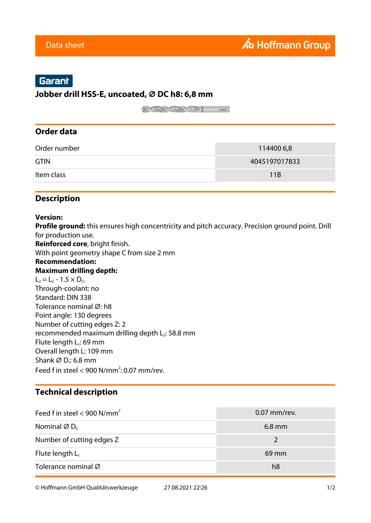# Garant

#### **Jobber drill HSS-E, uncoated, ⌀ DC h8: 6,8 mm**

 $\begin{picture}(20,10) \put(0,0){\line(1,0){10}} \put(15,0){\line(1,0){10}} \put(15,0){\line(1,0){10}} \put(15,0){\line(1,0){10}} \put(15,0){\line(1,0){10}} \put(15,0){\line(1,0){10}} \put(15,0){\line(1,0){10}} \put(15,0){\line(1,0){10}} \put(15,0){\line(1,0){10}} \put(15,0){\line(1,0){10}} \put(15,0){\line(1,0){10}} \put(15,0){\line(1$ 

### **Order data**

| Order number | 114400 6,8      |
|--------------|-----------------|
| <b>GTIN</b>  | 4045197017833   |
| Item class   | 11 <sub>R</sub> |

### **Description**

#### **Version:**

**Profile ground:** this ensures high concentricity and pitch accuracy. Precision ground point. Drill for production use.

**Reinforced core**, bright finish.

With point geometry shape C from size 2 mm

#### **Recommendation: Maximum drilling depth:**

 $L_2 = L_C - 1.5 \times D_C$ . Through-coolant: no Standard: DIN 338 Tolerance nominal Ø: h8 Point angle: 130 degrees Number of cutting edges Z: 2 recommended maximum drilling depth  $L_2$ : 58.8 mm Flute length L<sub>c</sub>: 69 mm Overall length L: 109 mm Shank  $\varnothing$  D<sub>s</sub>: 6.8 mm Feed f in steel  $<$  900 N/mm<sup>2</sup>: 0.07 mm/rev.

## **Technical description**

| Feed f in steel < 900 N/mm <sup>2</sup> | $0.07$ mm/rev. |
|-----------------------------------------|----------------|
| Nominal $\varnothing$ D <sub>c</sub>    | $6.8$ mm       |
| Number of cutting edges Z               |                |
| Flute length $L_c$                      | $69$ mm        |
| Tolerance nominal Ø                     | h8             |

© Hoffmann GmbH Qualitätswerkzeuge 27.08.2021 22:26 1/2